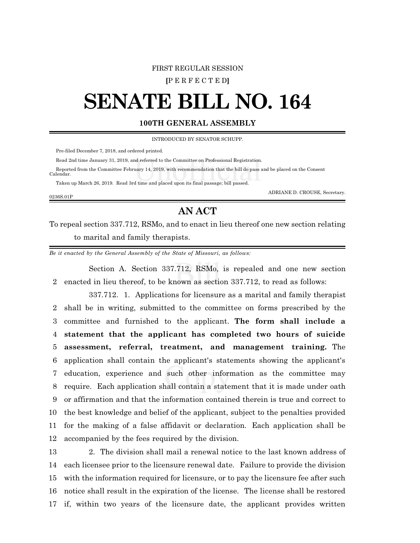## FIRST REGULAR SESSION

**[**P E R F E C T E D**]**

## **SENATE BILL NO. 164**

## **100TH GENERAL ASSEMBLY**

INTRODUCED BY SENATOR SCHUPP.

Pre-filed December 7, 2018, and ordered printed.

Read 2nd time January 31, 2019, and referred to the Committee on Professional Registration.

 Reported from the Committee February 14, 2019, with recommendation that the bill do pass and be placed on the Consent Calendar.

Taken up March 26, 2019. Read 3rd time and placed upon its final passage; bill passed.

0236S.01P

ADRIANE D. CROUSE, Secretary.

## **AN ACT**

To repeal section 337.712, RSMo, and to enact in lieu thereof one new section relating to marital and family therapists.

*Be it enacted by the General Assembly of the State of Missouri, as follows:*

Section A. Section 337.712, RSMo, is repealed and one new section 2 enacted in lieu thereof, to be known as section 337.712, to read as follows:

337.712. 1. Applications for licensure as a marital and family therapist shall be in writing, submitted to the committee on forms prescribed by the committee and furnished to the applicant. **The form shall include a statement that the applicant has completed two hours of suicide assessment, referral, treatment, and management training.** The application shall contain the applicant's statements showing the applicant's education, experience and such other information as the committee may require. Each application shall contain a statement that it is made under oath or affirmation and that the information contained therein is true and correct to the best knowledge and belief of the applicant, subject to the penalties provided for the making of a false affidavit or declaration. Each application shall be accompanied by the fees required by the division.

 2. The division shall mail a renewal notice to the last known address of each licensee prior to the licensure renewal date. Failure to provide the division with the information required for licensure, or to pay the licensure fee after such notice shall result in the expiration of the license. The license shall be restored if, within two years of the licensure date, the applicant provides written